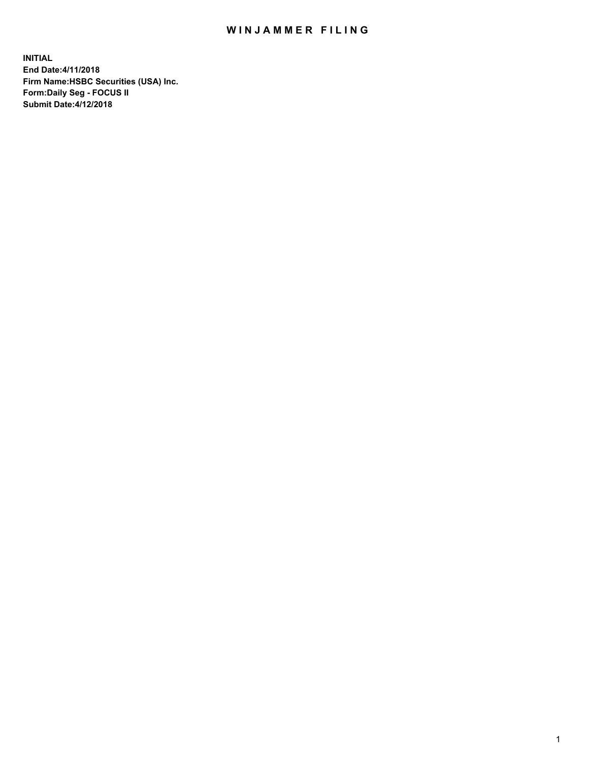## WIN JAMMER FILING

**INITIAL End Date:4/11/2018 Firm Name:HSBC Securities (USA) Inc. Form:Daily Seg - FOCUS II Submit Date:4/12/2018**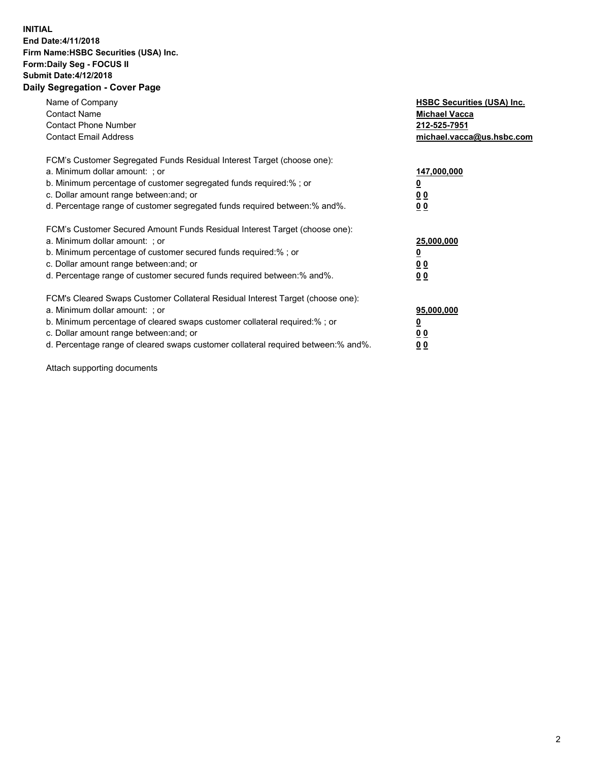## **INITIAL End Date:4/11/2018 Firm Name:HSBC Securities (USA) Inc. Form:Daily Seg - FOCUS II Submit Date:4/12/2018 Daily Segregation - Cover Page**

| Name of Company<br><b>Contact Name</b><br><b>Contact Phone Number</b><br><b>Contact Email Address</b>                                                                                                                                                                                                                         | <b>HSBC Securities (USA) Inc.</b><br><b>Michael Vacca</b><br>212-525-7951<br>michael.vacca@us.hsbc.com |
|-------------------------------------------------------------------------------------------------------------------------------------------------------------------------------------------------------------------------------------------------------------------------------------------------------------------------------|--------------------------------------------------------------------------------------------------------|
| FCM's Customer Segregated Funds Residual Interest Target (choose one):<br>a. Minimum dollar amount: ; or<br>b. Minimum percentage of customer segregated funds required:%; or<br>c. Dollar amount range between: and; or<br>d. Percentage range of customer segregated funds required between: % and %.                       | 147,000,000<br><u>0</u><br>00<br>00                                                                    |
| FCM's Customer Secured Amount Funds Residual Interest Target (choose one):<br>a. Minimum dollar amount: ; or<br>b. Minimum percentage of customer secured funds required:%; or<br>c. Dollar amount range between: and; or<br>d. Percentage range of customer secured funds required between:% and%.                           | 25,000,000<br><u>00</u><br>0 <sub>0</sub>                                                              |
| FCM's Cleared Swaps Customer Collateral Residual Interest Target (choose one):<br>a. Minimum dollar amount: ; or<br>b. Minimum percentage of cleared swaps customer collateral required:%; or<br>c. Dollar amount range between: and; or<br>d. Percentage range of cleared swaps customer collateral required between:% and%. | 95,000,000<br><u>0</u><br><u>00</u><br><u>00</u>                                                       |

Attach supporting documents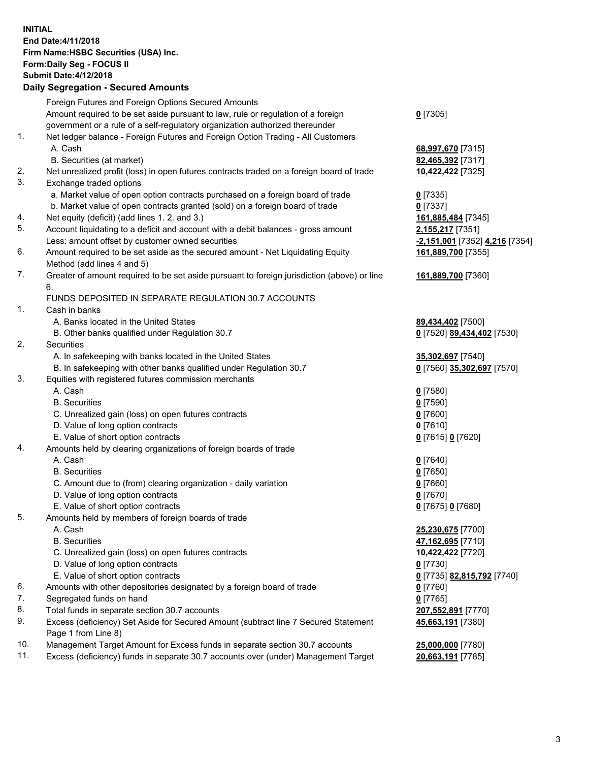**INITIAL End Date:4/11/2018 Firm Name:HSBC Securities (USA) Inc. Form:Daily Seg - FOCUS II Submit Date:4/12/2018 Daily Segregation - Secured Amounts**

Foreign Futures and Foreign Options Secured Amounts Amount required to be set aside pursuant to law, rule or regulation of a foreign government or a rule of a self-regulatory organization authorized thereunder **0** [7305] 1. Net ledger balance - Foreign Futures and Foreign Option Trading - All Customers A. Cash **68,997,670** [7315] B. Securities (at market) **82,465,392** [7317] 2. Net unrealized profit (loss) in open futures contracts traded on a foreign board of trade **10,422,422** [7325] 3. Exchange traded options a. Market value of open option contracts purchased on a foreign board of trade **0** [7335] b. Market value of open contracts granted (sold) on a foreign board of trade **0** [7337] 4. Net equity (deficit) (add lines 1. 2. and 3.) **161,885,484** [7345] 5. Account liquidating to a deficit and account with a debit balances - gross amount **2,155,217** [7351] Less: amount offset by customer owned securities **-2,151,001** [7352] **4,216** [7354] 6. Amount required to be set aside as the secured amount - Net Liquidating Equity Method (add lines 4 and 5) **161,889,700** [7355] 7. Greater of amount required to be set aside pursuant to foreign jurisdiction (above) or line 6. **161,889,700** [7360] FUNDS DEPOSITED IN SEPARATE REGULATION 30.7 ACCOUNTS 1. Cash in banks A. Banks located in the United States **89,434,402** [7500] B. Other banks qualified under Regulation 30.7 **0** [7520] **89,434,402** [7530] 2. Securities A. In safekeeping with banks located in the United States **35,302,697** [7540] B. In safekeeping with other banks qualified under Regulation 30.7 **0** [7560] **35,302,697** [7570] 3. Equities with registered futures commission merchants A. Cash **0** [7580] B. Securities **0** [7590] C. Unrealized gain (loss) on open futures contracts **0** [7600] D. Value of long option contracts **0** [7610] E. Value of short option contracts **0** [7615] **0** [7620] 4. Amounts held by clearing organizations of foreign boards of trade A. Cash **0** [7640] B. Securities **0** [7650] C. Amount due to (from) clearing organization - daily variation **0** [7660] D. Value of long option contracts **0** [7670] E. Value of short option contracts **0** [7675] **0** [7680] 5. Amounts held by members of foreign boards of trade A. Cash **25,230,675** [7700] B. Securities **47,162,695** [7710] C. Unrealized gain (loss) on open futures contracts **10,422,422** [7720] D. Value of long option contracts **0** [7730] E. Value of short option contracts **0** [7735] **82,815,792** [7740] 6. Amounts with other depositories designated by a foreign board of trade **0** [7760] 7. Segregated funds on hand **0** [7765] 8. Total funds in separate section 30.7 accounts **207,552,891** [7770] 9. Excess (deficiency) Set Aside for Secured Amount (subtract line 7 Secured Statement Page 1 from Line 8) **45,663,191** [7380] 10. Management Target Amount for Excess funds in separate section 30.7 accounts **25,000,000** [7780] 11. Excess (deficiency) funds in separate 30.7 accounts over (under) Management Target **20,663,191** [7785]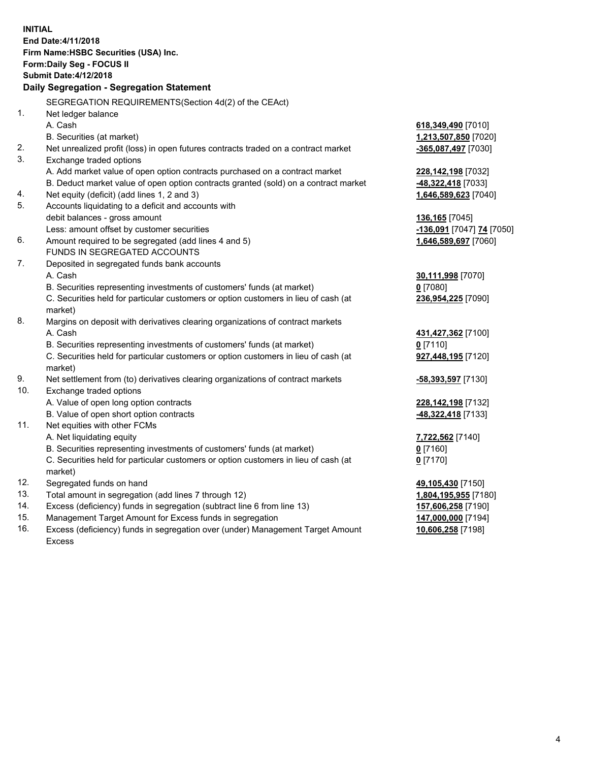|     | <b>INITIAL</b><br>End Date: 4/11/2018<br>Firm Name: HSBC Securities (USA) Inc.<br>Form: Daily Seg - FOCUS II<br><b>Submit Date: 4/12/2018</b> |                           |
|-----|-----------------------------------------------------------------------------------------------------------------------------------------------|---------------------------|
|     | Daily Segregation - Segregation Statement                                                                                                     |                           |
|     |                                                                                                                                               |                           |
| 1.  | SEGREGATION REQUIREMENTS(Section 4d(2) of the CEAct)                                                                                          |                           |
|     | Net ledger balance<br>A. Cash                                                                                                                 |                           |
|     | B. Securities (at market)                                                                                                                     | 618,349,490 [7010]        |
| 2.  |                                                                                                                                               | 1,213,507,850 [7020]      |
| 3.  | Net unrealized profit (loss) in open futures contracts traded on a contract market<br>Exchange traded options                                 | -365,087,497 [7030]       |
|     | A. Add market value of open option contracts purchased on a contract market                                                                   | 228, 142, 198 [7032]      |
|     | B. Deduct market value of open option contracts granted (sold) on a contract market                                                           | 48,322,418 [7033]         |
| 4.  | Net equity (deficit) (add lines 1, 2 and 3)                                                                                                   | 1,646,589,623 [7040]      |
| 5.  | Accounts liquidating to a deficit and accounts with                                                                                           |                           |
|     | debit balances - gross amount                                                                                                                 | <b>136,165</b> [7045]     |
|     | Less: amount offset by customer securities                                                                                                    | -136,091 [7047] 74 [7050] |
| 6.  | Amount required to be segregated (add lines 4 and 5)                                                                                          | 1,646,589,697 [7060]      |
|     | FUNDS IN SEGREGATED ACCOUNTS                                                                                                                  |                           |
| 7.  | Deposited in segregated funds bank accounts                                                                                                   |                           |
|     | A. Cash                                                                                                                                       | 30,111,998 [7070]         |
|     | B. Securities representing investments of customers' funds (at market)                                                                        | $0$ [7080]                |
|     | C. Securities held for particular customers or option customers in lieu of cash (at<br>market)                                                | 236,954,225 [7090]        |
| 8.  | Margins on deposit with derivatives clearing organizations of contract markets                                                                |                           |
|     | A. Cash                                                                                                                                       | 431,427,362 [7100]        |
|     | B. Securities representing investments of customers' funds (at market)                                                                        | $0$ [7110]                |
|     | C. Securities held for particular customers or option customers in lieu of cash (at<br>market)                                                | 927,448,195 [7120]        |
| 9.  | Net settlement from (to) derivatives clearing organizations of contract markets                                                               | -58,393,597 [7130]        |
| 10. | Exchange traded options                                                                                                                       |                           |
|     | A. Value of open long option contracts                                                                                                        | 228, 142, 198 [7132]      |
|     | B. Value of open short option contracts                                                                                                       | -48,322,418 [7133]        |
| 11. | Net equities with other FCMs                                                                                                                  |                           |
|     | A. Net liquidating equity                                                                                                                     | 7,722,562 [7140]          |
|     | B. Securities representing investments of customers' funds (at market)                                                                        | $0$ [7160]                |
|     | C. Securities held for particular customers or option customers in lieu of cash (at                                                           | 0 <sup>[7170]</sup>       |
|     | market)                                                                                                                                       |                           |
| 12. | Segregated funds on hand                                                                                                                      | 49,105,430 [7150]         |
| 13. | Total amount in segregation (add lines 7 through 12)                                                                                          | 1,804,195,955 [7180]      |
| 14. | Excess (deficiency) funds in segregation (subtract line 6 from line 13)                                                                       | 157,606,258 [7190]        |
| 15. | Management Target Amount for Excess funds in segregation                                                                                      | 147,000,000 [7194]        |
| 16. | Excess (deficiency) funds in segregation over (under) Management Target Amount                                                                | 10,606,258 [7198]         |

Excess